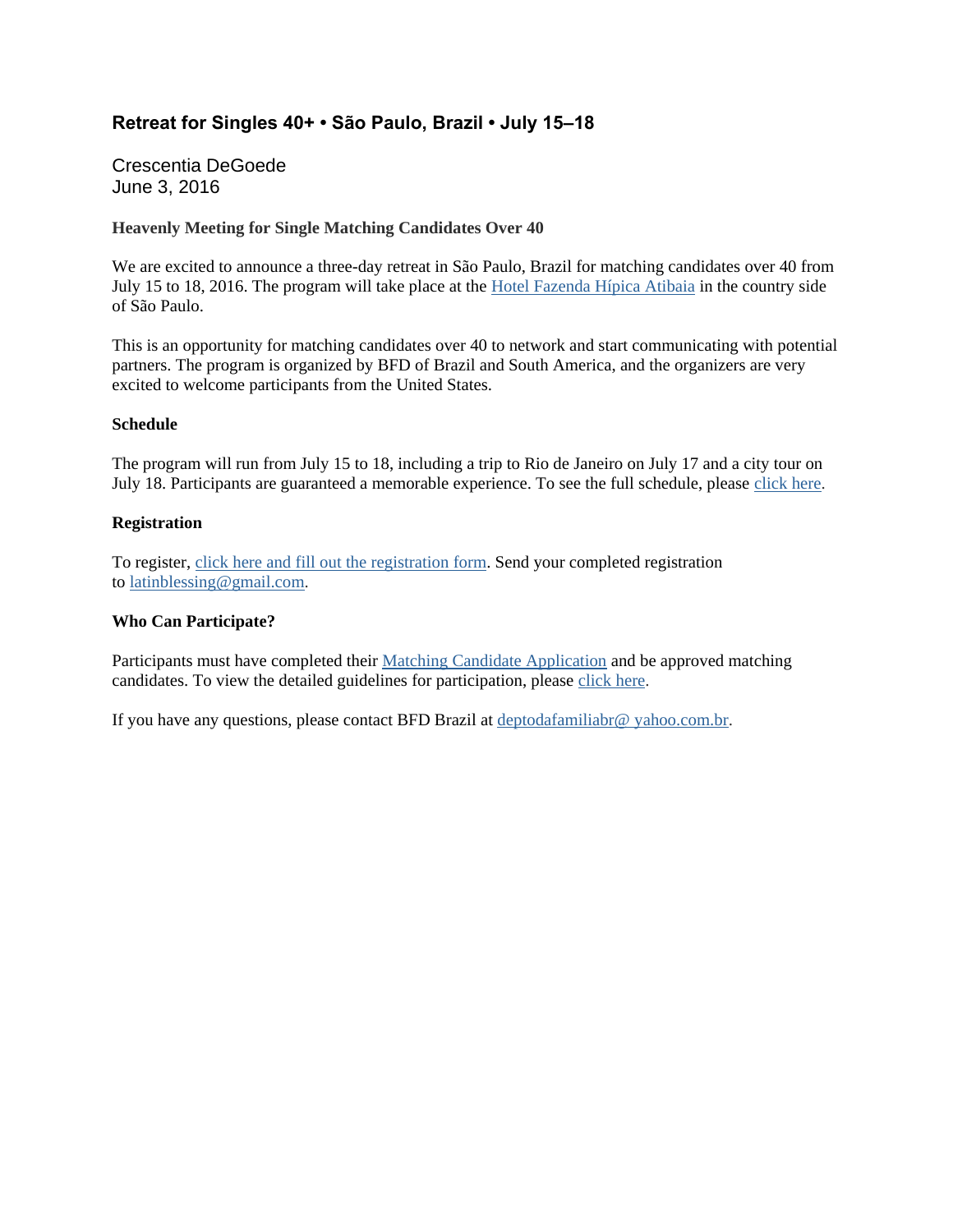#### **Retreat for Singles 40+ • São Paulo, Brazil • July 15–18**

Crescentia DeGoede June 3, 2016

#### **Heavenly Meeting for Single Matching Candidates Over 40**

We are excited to announce a three-day retreat in São Paulo, Brazil for matching candidates over 40 from July 15 to 18, 2016. The program will take place at the Hotel Fazenda Hípica Atibaia in the country side of São Paulo.

This is an opportunity for matching candidates over 40 to network and start communicating with potential partners. The program is organized by BFD of Brazil and South America, and the organizers are very excited to welcome participants from the United States.

#### **Schedule**

The program will run from July 15 to 18, including a trip to Rio de Janeiro on July 17 and a city tour on July 18. Participants are guaranteed a memorable experience. To see the full schedule, please click here.

#### **Registration**

To register, click here and fill out the registration form. Send your completed registration to latinblessing@gmail.com.

#### **Who Can Participate?**

Participants must have completed their Matching Candidate Application and be approved matching candidates. To view the detailed guidelines for participation, please click here.

If you have any questions, please contact BFD Brazil at deptodafamiliabr@ yahoo.com.br.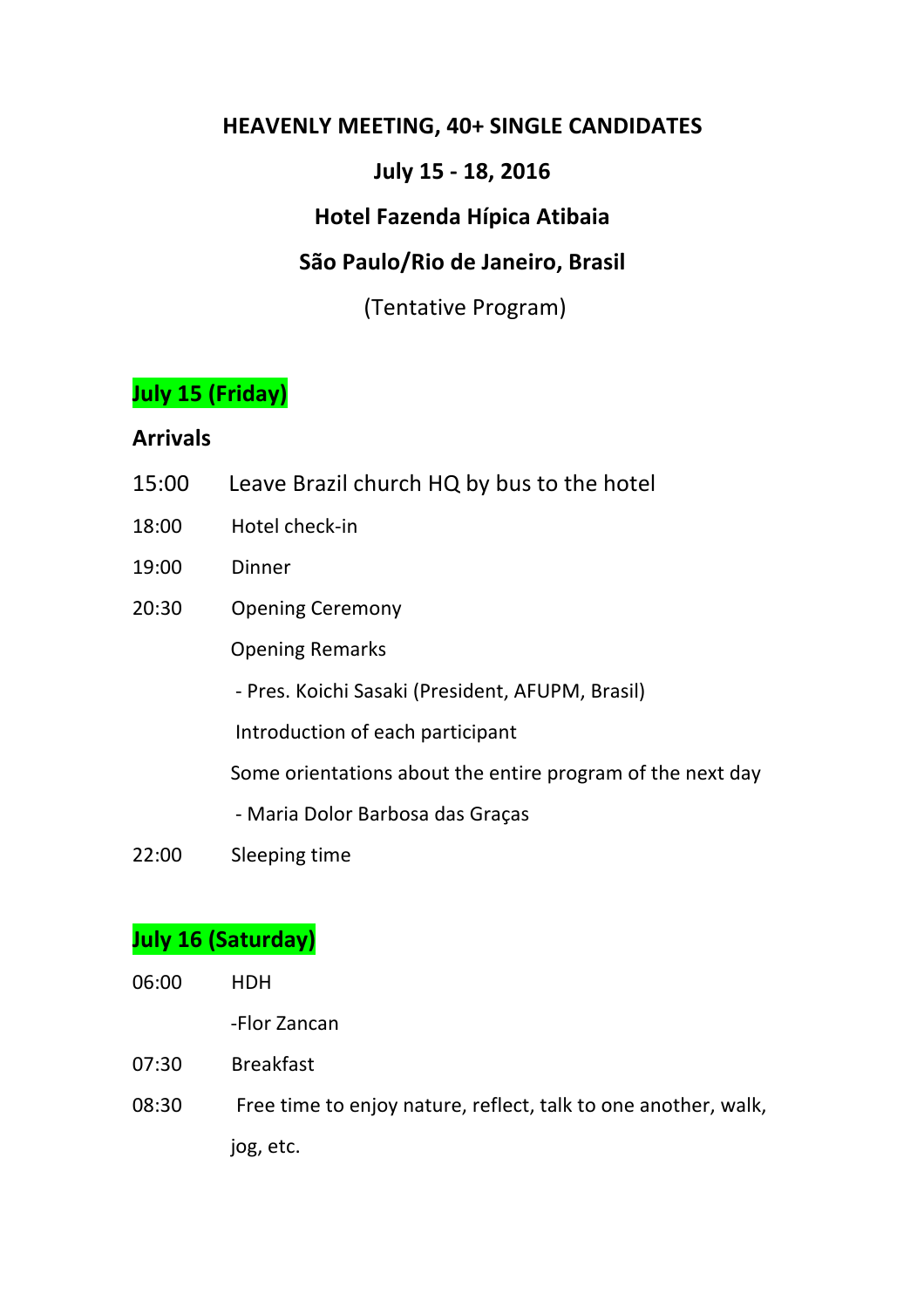### **HEAVENLY MEETING, 40+ SINGLE CANDIDATES**

## **July 15 - 18, 2016**

#### **Hotel Fazenda Hípica Atibaia**

### **São Paulo/Rio de Janeiro, Brasil**

(Tentative Program)

## **July 15 (Friday)**

#### **Arrivals**

- 15:00 Leave Brazil church HQ by bus to the hotel
- 18:00 Hotel check-in
- 19:00 Dinner
- 20:30 Opening Ceremony

**Opening Remarks** 

- Pres. Koichi Sasaki (President, AFUPM, Brasil)
- Introduction of each participant

Some orientations about the entire program of the next day

- Maria Dolor Barbosa das Graças
- 22:00 Sleeping time

# **July 16 (Saturday)**

- 06:00 HDH
	- -Flor Zancan
- 07:30 Breakfast
- 08:30 Free time to enjoy nature, reflect, talk to one another, walk, jog, etc.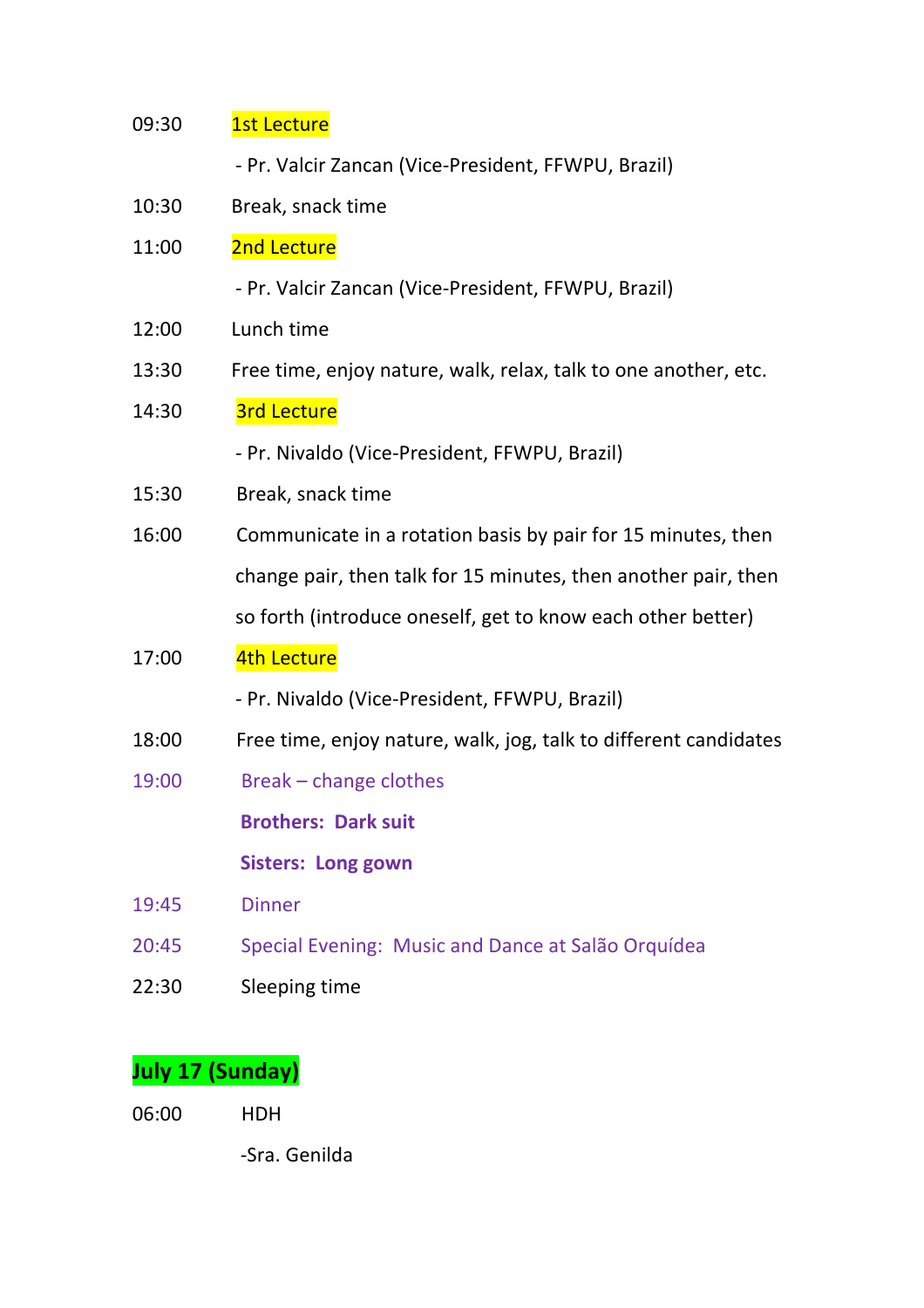| 09:30 | <b>1st Lecture</b>                                               |
|-------|------------------------------------------------------------------|
|       | - Pr. Valcir Zancan (Vice-President, FFWPU, Brazil)              |
| 10:30 | Break, snack time                                                |
| 11:00 | 2nd Lecture                                                      |
|       | - Pr. Valcir Zancan (Vice-President, FFWPU, Brazil)              |
| 12:00 | Lunch time                                                       |
| 13:30 | Free time, enjoy nature, walk, relax, talk to one another, etc.  |
| 14:30 | <b>3rd Lecture</b>                                               |
|       | - Pr. Nivaldo (Vice-President, FFWPU, Brazil)                    |
| 15:30 | Break, snack time                                                |
| 16:00 | Communicate in a rotation basis by pair for 15 minutes, then     |
|       | change pair, then talk for 15 minutes, then another pair, then   |
|       | so forth (introduce oneself, get to know each other better)      |
| 17:00 | 4th Lecture                                                      |
|       | - Pr. Nivaldo (Vice-President, FFWPU, Brazil)                    |
| 18:00 | Free time, enjoy nature, walk, jog, talk to different candidates |
| 19:00 | Break - change clothes                                           |
|       | <b>Brothers: Dark suit</b>                                       |
|       | <b>Sisters: Long gown</b>                                        |
| 19:45 | <b>Dinner</b>                                                    |
| 20:45 | Special Evening: Music and Dance at Salão Orquídea               |
|       |                                                                  |

22:30 Sleeping time

# **July 17 (Sunday)**

06:00 HDH

 -Sra. Genilda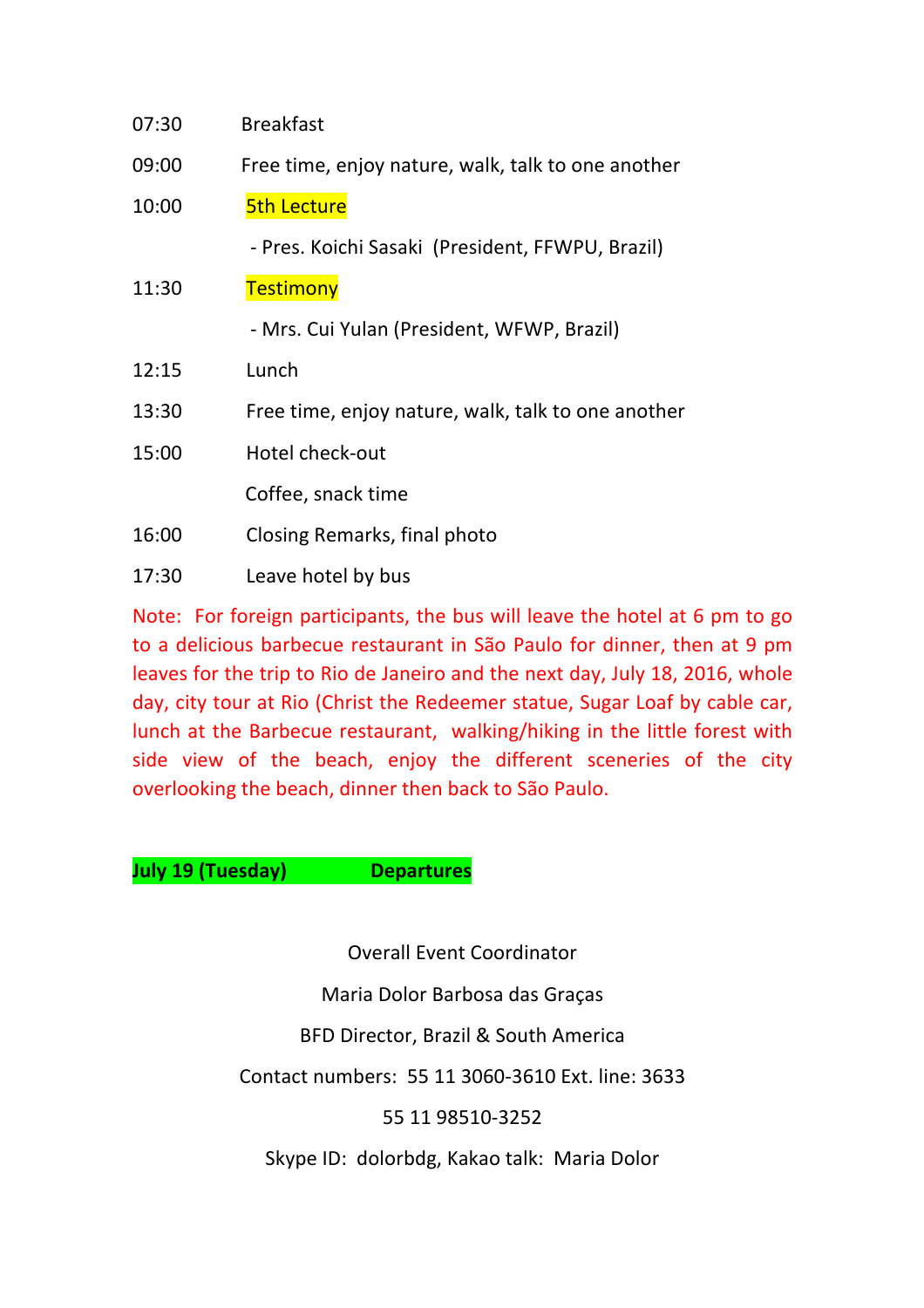| 07:30 | <b>Breakfast</b>                                   |
|-------|----------------------------------------------------|
| 09:00 | Free time, enjoy nature, walk, talk to one another |
| 10:00 | <b>5th Lecture</b>                                 |
|       | - Pres. Koichi Sasaki (President, FFWPU, Brazil)   |
| 11:30 | <b>Testimony</b>                                   |
|       | - Mrs. Cui Yulan (President, WFWP, Brazil)         |
| 12:15 | Lunch                                              |
| 13:30 | Free time, enjoy nature, walk, talk to one another |
| 15:00 | Hotel check-out                                    |
|       | Coffee, snack time                                 |
| 16:00 | Closing Remarks, final photo                       |
| 17:30 | Leave hotel by bus                                 |

Note: For foreign participants, the bus will leave the hotel at 6 pm to go to a delicious barbecue restaurant in São Paulo for dinner, then at 9 pm leaves for the trip to Rio de Janeiro and the next day, July 18, 2016, whole day, city tour at Rio (Christ the Redeemer statue, Sugar Loaf by cable car, lunch at the Barbecue restaurant, walking/hiking in the little forest with side view of the beach, enjoy the different sceneries of the city overlooking the beach, dinner then back to São Paulo.

**July 19 (Tuesday) Bepartures** 

Overall Event Coordinator

Maria Dolor Barbosa das Graças

BFD Director, Brazil & South America

Contact numbers: 55 11 3060-3610 Ext. line: 3633

55 11 98510-3252

Skype ID: dolorbdg, Kakao talk: Maria Dolor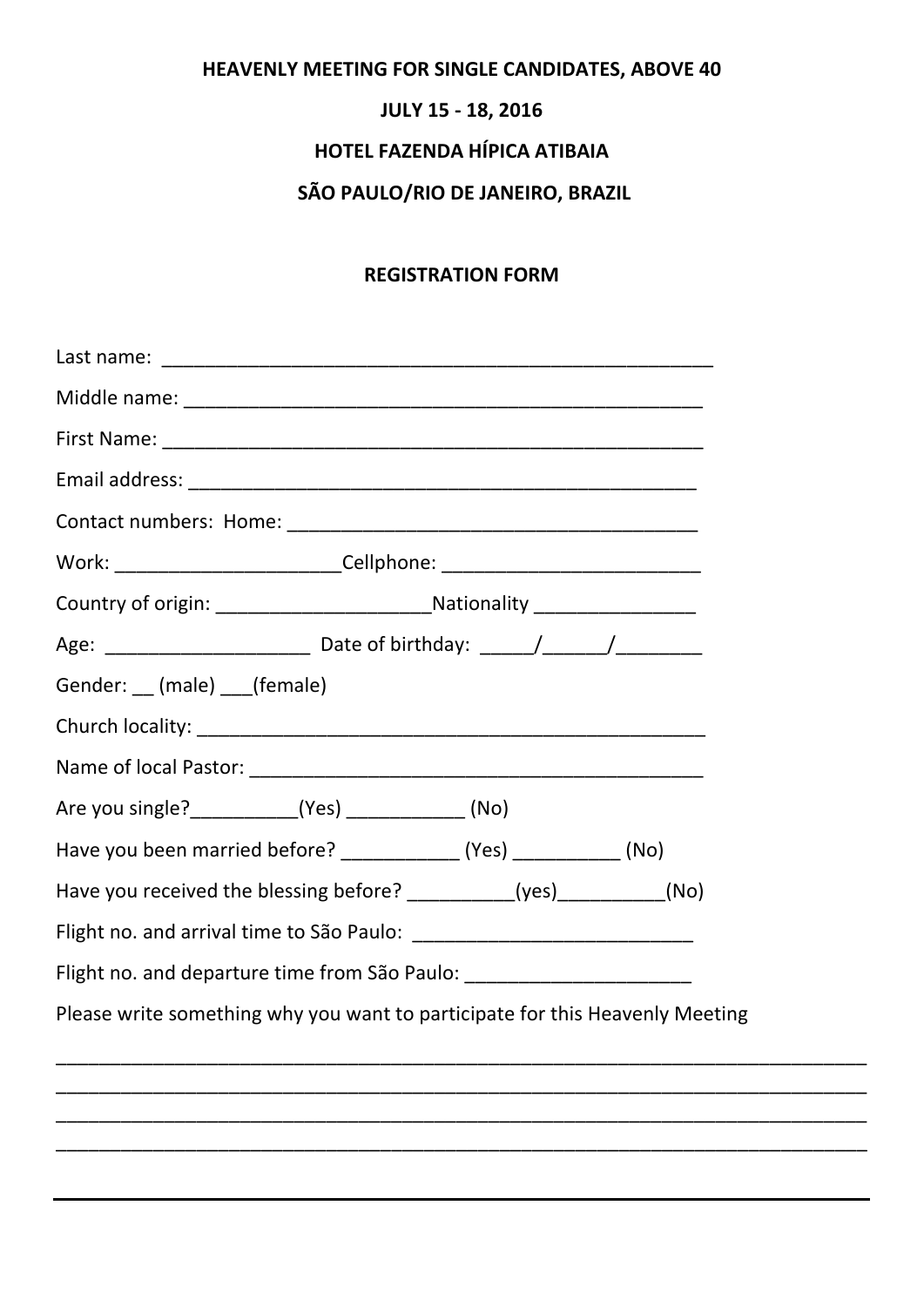## **HEAVENLY MEETING FOR SINGLE CANDIDATES, ABOVE 40**

#### **JULY 15 - 18, 2016**

## **HOTEL FAZENDA HÍPICA ATIBAIA**

## **SÃO PAULO/RIO DE JANEIRO, BRAZIL**

#### **REGISTRATION FORM**

| Work: ______________________________Cellphone: _________________________________ |  |  |  |
|----------------------------------------------------------------------------------|--|--|--|
| Country of origin: _________________________________Nationality ________________ |  |  |  |
|                                                                                  |  |  |  |
| Gender: (male) (female)                                                          |  |  |  |
|                                                                                  |  |  |  |
|                                                                                  |  |  |  |
| Are you single?____________(Yes) _____________(No)                               |  |  |  |
| Have you been married before? _______________ (Yes) ____________ (No)            |  |  |  |
| Have you received the blessing before? __________(yes)__________(No)             |  |  |  |
|                                                                                  |  |  |  |
| Flight no. and departure time from São Paulo: __________________________________ |  |  |  |
| Please write something why you want to participate for this Heavenly Meeting     |  |  |  |
|                                                                                  |  |  |  |
|                                                                                  |  |  |  |

\_\_\_\_\_\_\_\_\_\_\_\_\_\_\_\_\_\_\_\_\_\_\_\_\_\_\_\_\_\_\_\_\_\_\_\_\_\_\_\_\_\_\_\_\_\_\_\_\_\_\_\_\_\_\_\_\_\_\_\_\_\_\_\_\_\_\_\_\_\_\_\_\_\_\_ \_\_\_\_\_\_\_\_\_\_\_\_\_\_\_\_\_\_\_\_\_\_\_\_\_\_\_\_\_\_\_\_\_\_\_\_\_\_\_\_\_\_\_\_\_\_\_\_\_\_\_\_\_\_\_\_\_\_\_\_\_\_\_\_\_\_\_\_\_\_\_\_\_\_\_